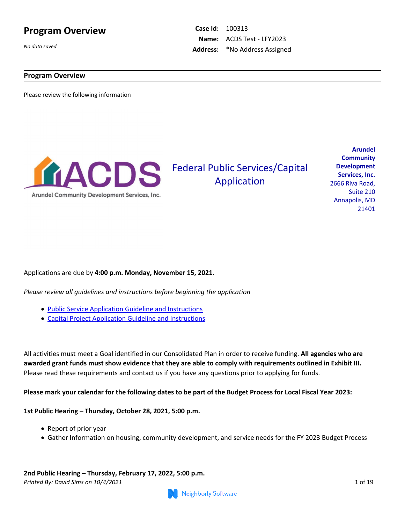### **Program Overview**

*No data saved*

**Case Id:** 100313 **Name:** ACDS Test - LFY2023 **Address:** \*No Address Assigned

### **Program Overview**

Please review the following information



# **Federal Public Services/Capital** Application

**Arundel Community Development Services, Inc.**  2666 Riva Road, Suite 210 Annapolis, MD 21401

### Applications are due by **4:00 p.m. Monday, November 15, 2021.**

*Please review all guidelines and instructions before beginning the application*

- [Public Service Application Guideline and Instructions](https://benevate.blob.core.windows.net/arundel-public/FY2023_ApplicationGuidelines_PS.pdf)
- [Capital Project Application Guideline and Instructions](https://benevate.blob.core.windows.net/arundel-public/FY2023_ApplicationGuidelines_Capital.pdf)

All activities must meet a Goal identified in our Consolidated Plan in order to receive funding. **All agencies who are awarded grant funds must show evidence that they are able to comply with requirements outlined in Exhibit III.** Please read these requirements and contact us if you have any questions prior to applying for funds.

**Please mark your calendar for the following dates to be part of the Budget Process for Local Fiscal Year 2023:**

### **1st Public Hearing – Thursday, October 28, 2021, 5:00 p.m.**

- Report of prior year
- Gather Information on housing, community development, and service needs for the FY 2023 Budget Process

*Printed By: David Sims on 10/4/2021* 1 of 19 **2nd Public Hearing – Thursday, February 17, 2022, 5:00 p.m.**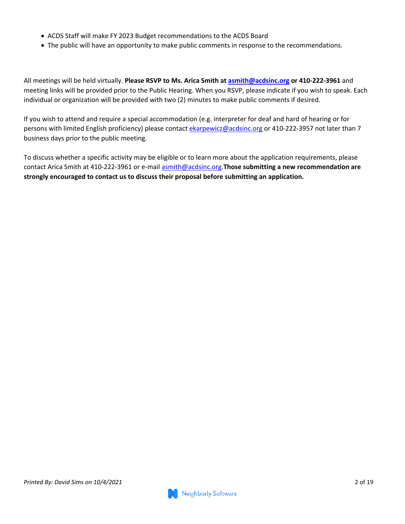- ACDS Staff will make FY 2023 Budget recommendations to the ACDS Board
- The public will have an opportunity to make public comments in response to the recommendations.

All meetings will be held virtually. **Please RSVP to Ms. Arica Smith at<asmith@acdsinc.org>or 410-222-3961** and meeting links will be provided prior to the Public Hearing. When you RSVP, please indicate if you wish to speak. Each individual or organization will be provided with two (2) minutes to make public comments if desired.

If you wish to attend and require a special accommodation (e.g. interpreter for deaf and hard of hearing or for persons with limited English proficiency) please contact<ekarpewicz@acdsinc.org>or 410-222-3957 not later than 7 business days prior to the public meeting.

To discuss whether a specific activity may be eligible or to learn more about the application requirements, please contact Arica Smith at 410-222-3961 or e-mail<asmith@acdsinc.org>.**Those submitting a new recommendation are strongly encouraged to contact us to discuss their proposal before submitting an application.**

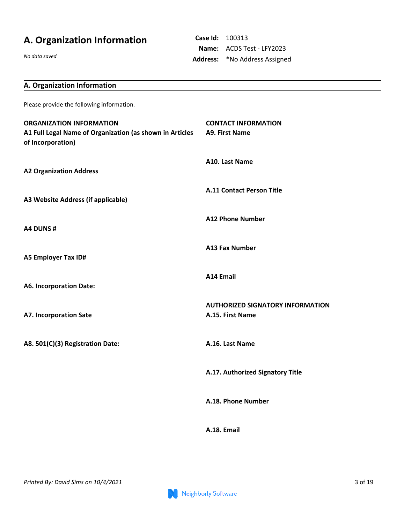# **A. Organization Information**

*No data saved*

**Case Id:** 100313 **Name:** ACDS Test - LFY2023 **Address:** \*No Address Assigned

| A. Organization Information                                                                                      |                                                             |
|------------------------------------------------------------------------------------------------------------------|-------------------------------------------------------------|
| Please provide the following information.                                                                        |                                                             |
| <b>ORGANIZATION INFORMATION</b><br>A1 Full Legal Name of Organization (as shown in Articles<br>of Incorporation) | <b>CONTACT INFORMATION</b><br><b>A9. First Name</b>         |
| <b>A2 Organization Address</b>                                                                                   | A10. Last Name                                              |
| A3 Website Address (if applicable)                                                                               | <b>A.11 Contact Person Title</b>                            |
| A4 DUNS#                                                                                                         | <b>A12 Phone Number</b>                                     |
| <b>A5 Employer Tax ID#</b>                                                                                       | <b>A13 Fax Number</b>                                       |
| <b>A6. Incorporation Date:</b>                                                                                   | <b>A14 Email</b>                                            |
| <b>A7. Incorporation Sate</b>                                                                                    | <b>AUTHORIZED SIGNATORY INFORMATION</b><br>A.15. First Name |
| A8. 501(C)(3) Registration Date:                                                                                 | A.16. Last Name                                             |
|                                                                                                                  | A.17. Authorized Signatory Title                            |
|                                                                                                                  | A.18. Phone Number                                          |
|                                                                                                                  | A.18. Email                                                 |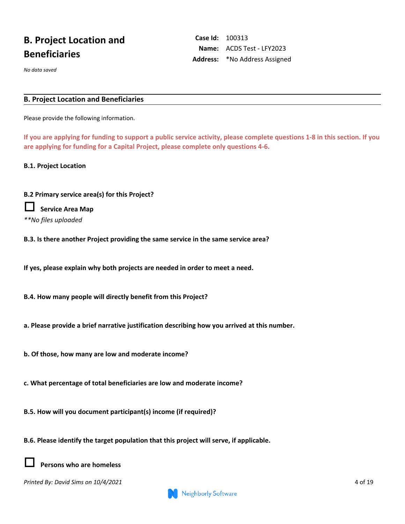# **B. Project Location and Beneficiaries**

*No data saved*

#### **B. Project Location and Beneficiaries**

Please provide the following information.

**If you are applying for funding to support a public service activity, please complete questions 1-8 in this section. If you are applying for funding for a Capital Project, please complete only questions 4-6.**

**Case Id:** 100313

**Name:** ACDS Test - LFY2023 **Address:** \*No Address Assigned

**B.1. Project Location**

#### **B.2 Primary service area(s) for this Project?**

| Service Area Map    |
|---------------------|
| **No files uploaded |

**B.3. Is there another Project providing the same service in the same service area?** 

**If yes, please explain why both projects are needed in order to meet a need.**

**B.4. How many people will directly benefit from this Project?**

**a. Please provide a brief narrative justification describing how you arrived at this number.**

**b. Of those, how many are low and moderate income?** 

**c. What percentage of total beneficiaries are low and moderate income?** 

**B.5. How will you document participant(s) income (if required)?**

**B.6. Please identify the target population that this project will serve, if applicable.**



**Persons who are homeless**

*Printed By: David Sims on 10/4/2021* 4 of 19

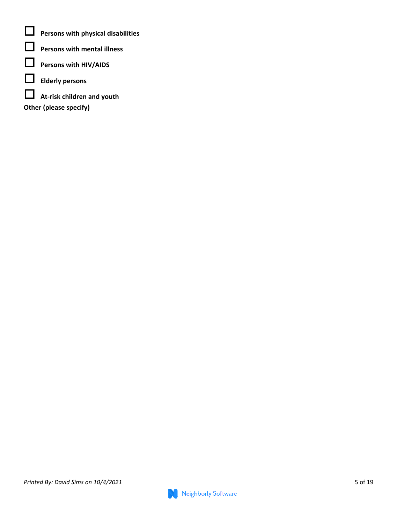**Persons with physical disabilities**

- **Persons with mental illness**
- **Persons with HIV/AIDS**
- **Elderly persons**
- **At-risk children and youth**
- **Other (please specify)**

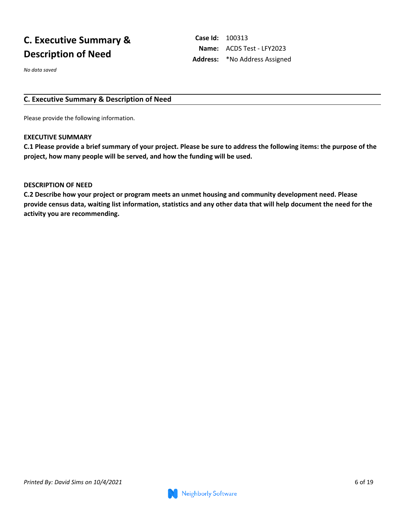# **C. Executive Summary & Description of Need**

*No data saved*

**Case Id:** 100313 **Name:** ACDS Test - LFY2023 **Address:** \*No Address Assigned

### **C. Executive Summary & Description of Need**

Please provide the following information.

#### **EXECUTIVE SUMMARY**

**C.1 Please provide a brief summary of your project. Please be sure to address the following items: the purpose of the project, how many people will be served, and how the funding will be used.** 

### **DESCRIPTION OF NEED**

**C.2 Describe how your project or program meets an unmet housing and community development need. Please provide census data, waiting list information, statistics and any other data that will help document the need for the activity you are recommending.**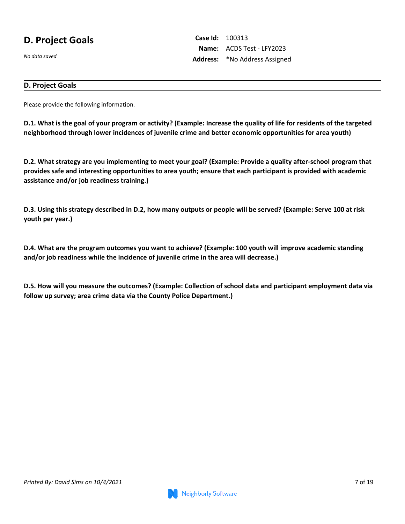## **D. Project Goals**

*No data saved*

**Case Id:** 100313 **Name:** ACDS Test - LFY2023 **Address:** \*No Address Assigned

### **D. Project Goals**

Please provide the following information.

**D.1. What is the goal of your program or activity? (Example: Increase the quality of life for residents of the targeted neighborhood through lower incidences of juvenile crime and better economic opportunities for area youth)**

**D.2. What strategy are you implementing to meet your goal? (Example: Provide a quality after-school program that provides safe and interesting opportunities to area youth; ensure that each participant is provided with academic assistance and/or job readiness training.)**

**D.3. Using this strategy described in D.2, how many outputs or people will be served? (Example: Serve 100 at risk youth per year.)**

**D.4. What are the program outcomes you want to achieve? (Example: 100 youth will improve academic standing and/or job readiness while the incidence of juvenile crime in the area will decrease.)**

**D.5. How will you measure the outcomes? (Example: Collection of school data and participant employment data via follow up survey; area crime data via the County Police Department.)**

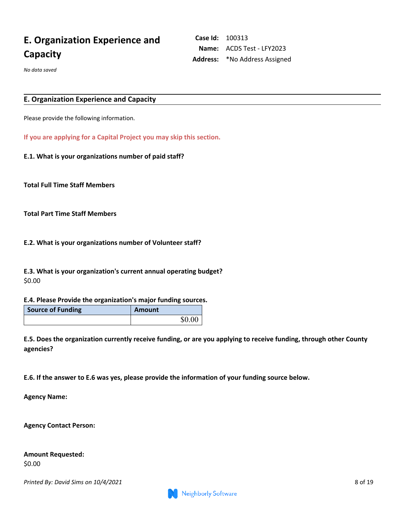# **E. Organization Experience and Capacity**

**Case Id:** 100313 **Name:** ACDS Test - LFY2023 **Address:** \*No Address Assigned

*No data saved*

#### **E. Organization Experience and Capacity**

Please provide the following information.

**If you are applying for a Capital Project you may skip this section.**

**E.1. What is your organizations number of paid staff?** 

**Total Full Time Staff Members**

**Total Part Time Staff Members**

**E.2. What is your organizations number of Volunteer staff?** 

**E.3. What is your organization's current annual operating budget?** \$0.00

#### **E.4. Please Provide the organization's major funding sources.**

| <b>Source of Funding</b> | Amount |
|--------------------------|--------|
|                          | \$0.00 |

**E.5. Does the organization currently receive funding, or are you applying to receive funding, through other County agencies?**

**E.6. If the answer to E.6 was yes, please provide the information of your funding source below.** 

**Agency Name:** 

**Agency Contact Person:**

|        | Amount Requested: |
|--------|-------------------|
| \$0.00 |                   |

*Printed By: David Sims on 10/4/2021* 8 of 19

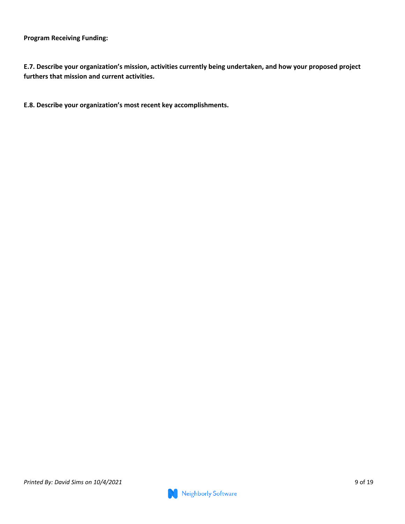**Program Receiving Funding:** 

**E.7. Describe your organization's mission, activities currently being undertaken, and how your proposed project furthers that mission and current activities.**

**E.8. Describe your organization's most recent key accomplishments.**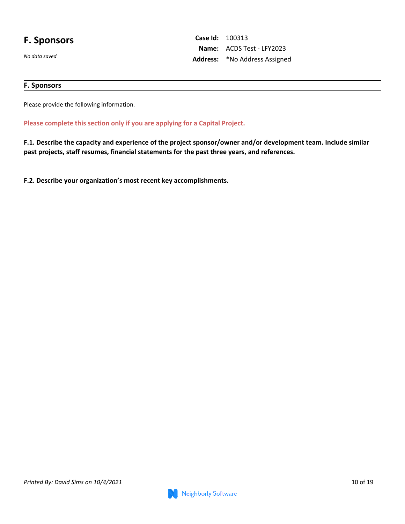### **F. Sponsors**

*No data saved*

**Case Id:** 100313 **Name:** ACDS Test - LFY2023 **Address:** \*No Address Assigned

### **F. Sponsors**

Please provide the following information.

**Please complete this section only if you are applying for a Capital Project.**

**F.1. Describe the capacity and experience of the project sponsor/owner and/or development team. Include similar past projects, staff resumes, financial statements for the past three years, and references.**

**F.2. Describe your organization's most recent key accomplishments.**

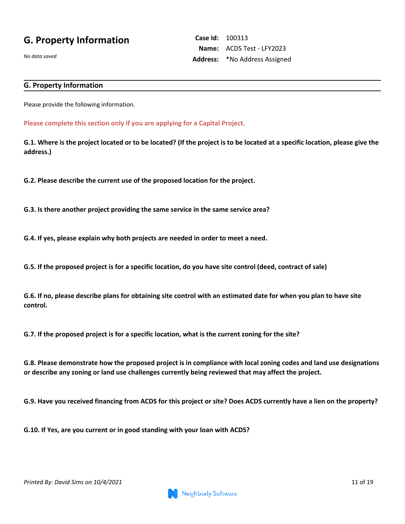## **G. Property Information**

*No data saved*

**Case Id:** 100313 **Name:** ACDS Test - LFY2023 **Address:** \*No Address Assigned

### **G. Property Information**

Please provide the following information.

**Please complete this section only if you are applying for a Capital Project.**

**G.1. Where is the project located or to be located? (If the project is to be located at a specific location, please give the address.)**

**G.2. Please describe the current use of the proposed location for the project.**

**G.3. Is there another project providing the same service in the same service area?**

**G.4. If yes, please explain why both projects are needed in order to meet a need.**

**G.5. If the proposed project is for a specific location, do you have site control (deed, contract of sale)**

**G.6. If no, please describe plans for obtaining site control with an estimated date for when you plan to have site control.**

**G.7. If the proposed project is for a specific location, what is the current zoning for the site?** 

**G.8. Please demonstrate how the proposed project is in compliance with local zoning codes and land use designations or describe any zoning or land use challenges currently being reviewed that may affect the project.**

**G.9. Have you received financing from ACDS for this project or site? Does ACDS currently have a lien on the property?**

**G.10. If Yes, are you current or in good standing with your loan with ACDS?**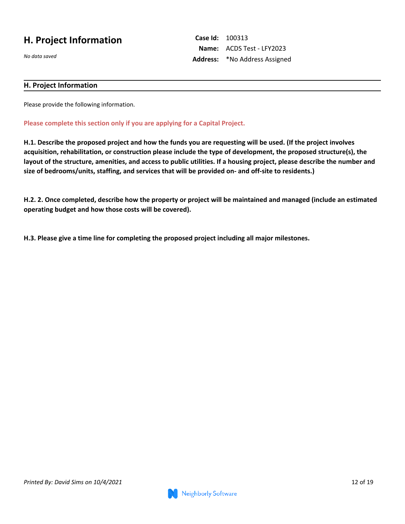## **H. Project Information**

*No data saved*

**Case Id:** 100313 **Name:** ACDS Test - LFY2023 **Address:** \*No Address Assigned

### **H. Project Information**

Please provide the following information.

**Please complete this section only if you are applying for a Capital Project.**

**H.1. Describe the proposed project and how the funds you are requesting will be used. (If the project involves acquisition, rehabilitation, or construction please include the type of development, the proposed structure(s), the layout of the structure, amenities, and access to public utilities. If a housing project, please describe the number and size of bedrooms/units, staffing, and services that will be provided on- and off-site to residents.)**

**H.2. 2. Once completed, describe how the property or project will be maintained and managed (include an estimated operating budget and how those costs will be covered).** 

**H.3. Please give a time line for completing the proposed project including all major milestones.**

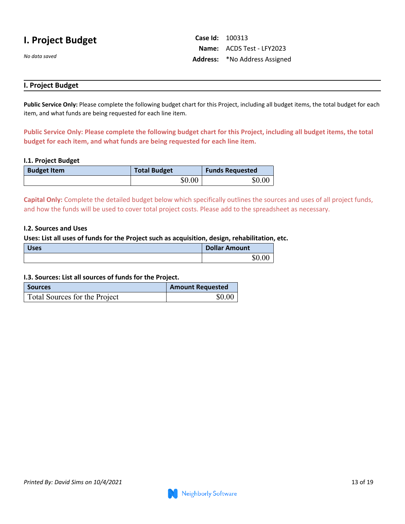## **I. Project Budget**

*No data saved*

**Case Id:** 100313 **Name:** ACDS Test - LFY2023 **Address:** \*No Address Assigned

### **I. Project Budget**

**Public Service Only:** Please complete the following budget chart for this Project, including all budget items, the total budget for each item, and what funds are being requested for each line item.

**Public Service Only: Please complete the following budget chart for this Project, including all budget items, the total budget for each item, and what funds are being requested for each line item.**

#### **I.1. Project Budget**

| <b>Budget Item</b> | <b>Total Budget</b> | <b>Funds Requested</b> |
|--------------------|---------------------|------------------------|
|                    | \$0.00              | \$0.00                 |

**Capital Only:** Complete the detailed budget below which specifically outlines the sources and uses of all project funds, and how the funds will be used to cover total project costs. Please add to the spreadsheet as necessary.

#### **I.2. Sources and Uses**

#### **Uses: List all uses of funds for the Project such as acquisition, design, rehabilitation, etc.**

| <b>Uses</b> | <b>Dollar Amount</b> |
|-------------|----------------------|
|             | \$0.00               |

### **I.3. Sources: List all sources of funds for the Project.**

| <b>Sources</b>                | <b>Amount Requested</b> |
|-------------------------------|-------------------------|
| Total Sources for the Project | \$0.00                  |

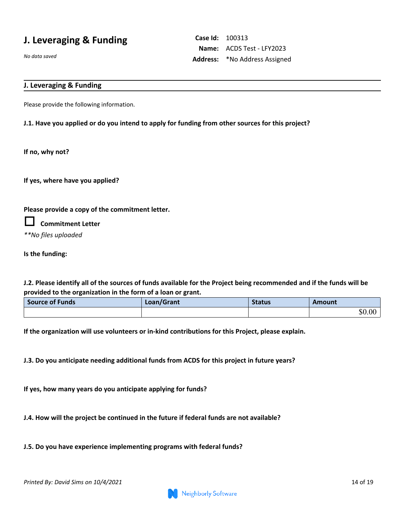## **J. Leveraging & Funding**

*No data saved*

**Case Id:** 100313 **Name:** ACDS Test - LFY2023 **Address:** \*No Address Assigned

### **J. Leveraging & Funding**

Please provide the following information.

### **J.1. Have you applied or do you intend to apply for funding from other sources for this project?**

**If no, why not?** 

**If yes, where have you applied?** 

### **Please provide a copy of the commitment letter.**

**Commitment Letter**

*\*\*No files uploaded*

**Is the funding:**

**J.2. Please identify all of the sources of funds available for the Project being recommended and if the funds will be provided to the organization in the form of a loan or grant.**

| <b>Source of Funds</b> | Loan/Grant | <b>Status</b> | Amount |
|------------------------|------------|---------------|--------|
|                        |            |               | \$0.00 |

**If the organization will use volunteers or in-kind contributions for this Project, please explain.**

**J.3. Do you anticipate needing additional funds from ACDS for this project in future years?**

**If yes, how many years do you anticipate applying for funds?** 

**J.4. How will the project be continued in the future if federal funds are not available?**

**J.5. Do you have experience implementing programs with federal funds?**

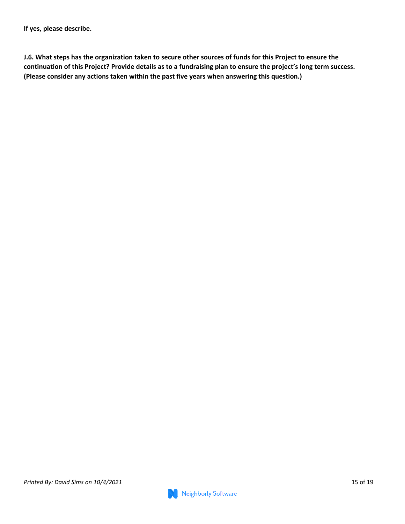**J.6. What steps has the organization taken to secure other sources of funds for this Project to ensure the continuation of this Project? Provide details as to a fundraising plan to ensure the project's long term success. (Please consider any actions taken within the past five years when answering this question.)**

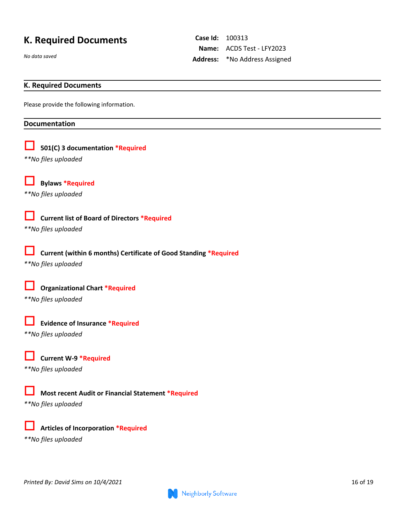## **K. Required Documents**

*No data saved*

**Case Id:** 100313 **Name:** ACDS Test - LFY2023 **Address:** \*No Address Assigned

### **K. Required Documents**

Please provide the following information.

#### **Documentation**

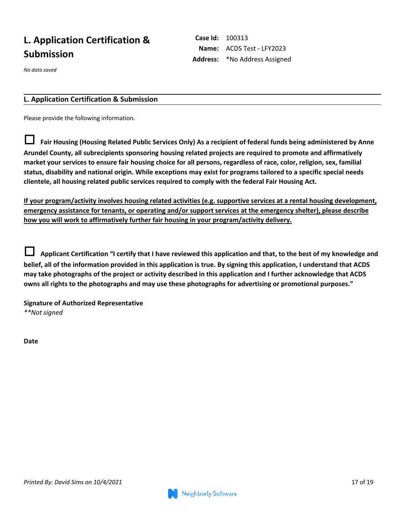# **L. Application Certification & Submission**

*No data saved*

### **L. Application Certification & Submission**

Please provide the following information.

 **Fair Housing (Housing Related Public Services Only) As a recipient of federal funds being administered by Anne Arundel County, all subrecipients sponsoring housing related projects are required to promote and affirmatively market your services to ensure fair housing choice for all persons, regardless of race, color, religion, sex, familial status, disability and national origin. While exceptions may exist for programs tailored to a specific special needs clientele, all housing related public services required to comply with the federal Fair Housing Act.** 

**If your program/activity involves housing related activities (e.g. supportive services at a rental housing development, emergency assistance for tenants, or operating and/or support services at the emergency shelter), please describe how you will work to affirmatively further fair housing in your program/activity delivery.** 

 **Applicant Certification "I certify that I have reviewed this application and that, to the best of my knowledge and belief, all of the information provided in this application is true. By signing this application, I understand that ACDS may take photographs of the project or activity described in this application and I further acknowledge that ACDS owns all rights to the photographs and may use these photographs for advertising or promotional purposes."** 

**Signature of Authorized Representative** *\*\*Not signed*

**Date**



**Case Id:** 100313 **Name:** ACDS Test - LFY2023 **Address:** \*No Address Assigned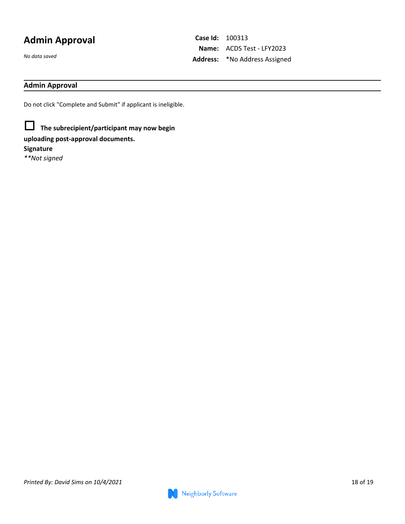# **Admin Approval**

*No data saved*

**Case Id:** 100313 **Name:** ACDS Test - LFY2023 **Address:** \*No Address Assigned

### **Admin Approval**

Do not click "Complete and Submit" if applicant is ineligible.

 **The subrecipient/participant may now begin uploading post-approval documents. Signature** *\*\*Not signed*